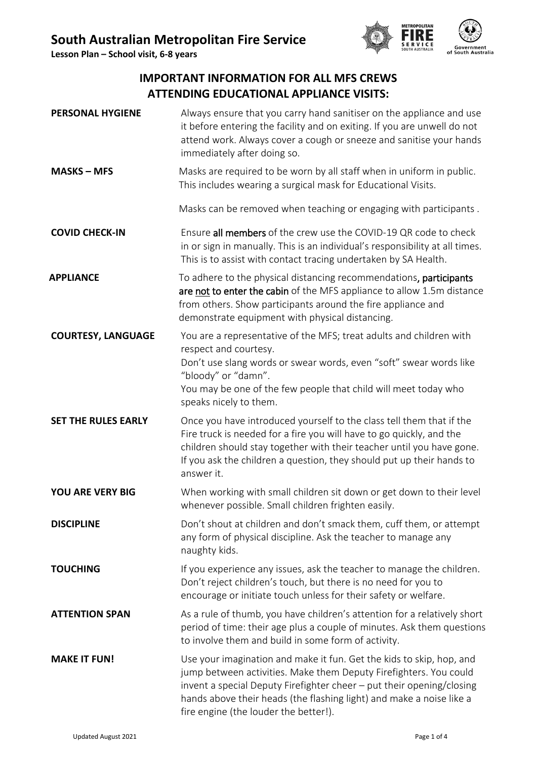**Lesson Plan – School visit, 6-8 years**



# **IMPORTANT INFORMATION FOR ALL MFS CREWS ATTENDING EDUCATIONAL APPLIANCE VISITS:**

| <b>PERSONAL HYGIENE</b>                                                                                                                                                                                                                                                                                                                                    | Always ensure that you carry hand sanitiser on the appliance and use<br>it before entering the facility and on exiting. If you are unwell do not<br>attend work. Always cover a cough or sneeze and sanitise your hands<br>immediately after doing so.                                                       |  |  |
|------------------------------------------------------------------------------------------------------------------------------------------------------------------------------------------------------------------------------------------------------------------------------------------------------------------------------------------------------------|--------------------------------------------------------------------------------------------------------------------------------------------------------------------------------------------------------------------------------------------------------------------------------------------------------------|--|--|
| <b>MASKS - MFS</b>                                                                                                                                                                                                                                                                                                                                         | Masks are required to be worn by all staff when in uniform in public.<br>This includes wearing a surgical mask for Educational Visits.                                                                                                                                                                       |  |  |
|                                                                                                                                                                                                                                                                                                                                                            | Masks can be removed when teaching or engaging with participants.                                                                                                                                                                                                                                            |  |  |
| <b>COVID CHECK-IN</b>                                                                                                                                                                                                                                                                                                                                      | Ensure all members of the crew use the COVID-19 QR code to check<br>in or sign in manually. This is an individual's responsibility at all times.<br>This is to assist with contact tracing undertaken by SA Health.                                                                                          |  |  |
| <b>APPLIANCE</b>                                                                                                                                                                                                                                                                                                                                           | To adhere to the physical distancing recommendations, participants<br>are not to enter the cabin of the MFS appliance to allow 1.5m distance<br>from others. Show participants around the fire appliance and<br>demonstrate equipment with physical distancing.                                              |  |  |
| <b>COURTESY, LANGUAGE</b>                                                                                                                                                                                                                                                                                                                                  | You are a representative of the MFS; treat adults and children with<br>respect and courtesy.<br>Don't use slang words or swear words, even "soft" swear words like<br>"bloody" or "damn".<br>You may be one of the few people that child will meet today who<br>speaks nicely to them.                       |  |  |
| <b>SET THE RULES EARLY</b>                                                                                                                                                                                                                                                                                                                                 | Once you have introduced yourself to the class tell them that if the<br>Fire truck is needed for a fire you will have to go quickly, and the<br>children should stay together with their teacher until you have gone.<br>If you ask the children a question, they should put up their hands to<br>answer it. |  |  |
| <b>YOU ARE VERY BIG</b>                                                                                                                                                                                                                                                                                                                                    | When working with small children sit down or get down to their level<br>whenever possible. Small children frighten easily.                                                                                                                                                                                   |  |  |
| <b>DISCIPLINE</b>                                                                                                                                                                                                                                                                                                                                          | Don't shout at children and don't smack them, cuff them, or attempt<br>any form of physical discipline. Ask the teacher to manage any<br>naughty kids.                                                                                                                                                       |  |  |
| <b>TOUCHING</b>                                                                                                                                                                                                                                                                                                                                            | If you experience any issues, ask the teacher to manage the children.<br>Don't reject children's touch, but there is no need for you to<br>encourage or initiate touch unless for their safety or welfare.                                                                                                   |  |  |
| <b>ATTENTION SPAN</b>                                                                                                                                                                                                                                                                                                                                      | As a rule of thumb, you have children's attention for a relatively short<br>period of time: their age plus a couple of minutes. Ask them questions<br>to involve them and build in some form of activity.                                                                                                    |  |  |
| Use your imagination and make it fun. Get the kids to skip, hop, and<br><b>MAKE IT FUN!</b><br>jump between activities. Make them Deputy Firefighters. You could<br>invent a special Deputy Firefighter cheer - put their opening/closing<br>hands above their heads (the flashing light) and make a noise like a<br>fire engine (the louder the better!). |                                                                                                                                                                                                                                                                                                              |  |  |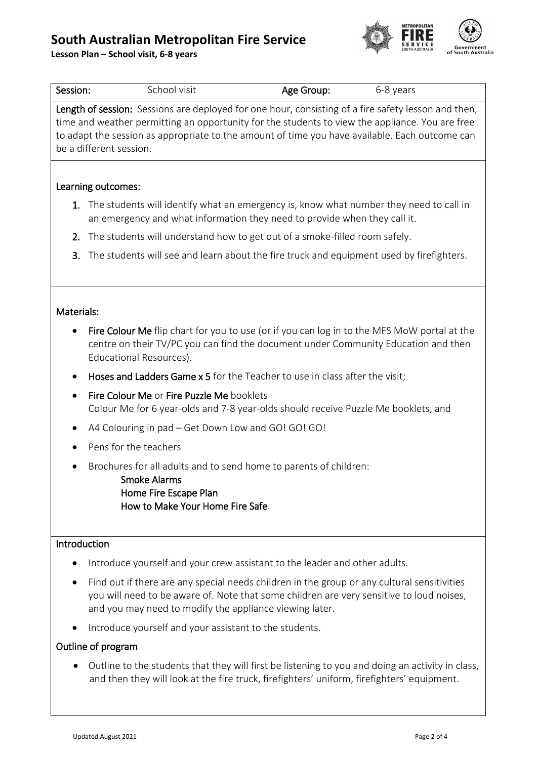# **South Australian Metropolitan Fire Service**

**Lesson Plan – School visit, 6-8 years**



| Session:                                                                                                                                                                                                                                                                                                                            | School visit                                                                                                                                                                                                                                       | Age Group: | 6-8 years |  |  |
|-------------------------------------------------------------------------------------------------------------------------------------------------------------------------------------------------------------------------------------------------------------------------------------------------------------------------------------|----------------------------------------------------------------------------------------------------------------------------------------------------------------------------------------------------------------------------------------------------|------------|-----------|--|--|
| Length of session: Sessions are deployed for one hour, consisting of a fire safety lesson and then,<br>time and weather permitting an opportunity for the students to view the appliance. You are free<br>to adapt the session as appropriate to the amount of time you have available. Each outcome can<br>be a different session. |                                                                                                                                                                                                                                                    |            |           |  |  |
| Learning outcomes:                                                                                                                                                                                                                                                                                                                  |                                                                                                                                                                                                                                                    |            |           |  |  |
|                                                                                                                                                                                                                                                                                                                                     | 1. The students will identify what an emergency is, know what number they need to call in<br>an emergency and what information they need to provide when they call it.                                                                             |            |           |  |  |
| The students will understand how to get out of a smoke-filled room safely.<br>2.                                                                                                                                                                                                                                                    |                                                                                                                                                                                                                                                    |            |           |  |  |
| 3.                                                                                                                                                                                                                                                                                                                                  | The students will see and learn about the fire truck and equipment used by firefighters.                                                                                                                                                           |            |           |  |  |
| Materials:                                                                                                                                                                                                                                                                                                                          |                                                                                                                                                                                                                                                    |            |           |  |  |
|                                                                                                                                                                                                                                                                                                                                     | Fire Colour Me flip chart for you to use (or if you can log in to the MFS MoW portal at the<br>centre on their TV/PC you can find the document under Community Education and then<br>Educational Resources).                                       |            |           |  |  |
|                                                                                                                                                                                                                                                                                                                                     | Hoses and Ladders Game x 5 for the Teacher to use in class after the visit;                                                                                                                                                                        |            |           |  |  |
| $\bullet$                                                                                                                                                                                                                                                                                                                           | Fire Colour Me or Fire Puzzle Me booklets<br>Colour Me for 6 year-olds and 7-8 year-olds should receive Puzzle Me booklets, and                                                                                                                    |            |           |  |  |
|                                                                                                                                                                                                                                                                                                                                     | A4 Colouring in pad - Get Down Low and GO! GO! GO!                                                                                                                                                                                                 |            |           |  |  |
|                                                                                                                                                                                                                                                                                                                                     | Pens for the teachers                                                                                                                                                                                                                              |            |           |  |  |
|                                                                                                                                                                                                                                                                                                                                     | Brochures for all adults and to send home to parents of children:<br>Smoke Alarms<br>Home Fire Escape Plan<br>How to Make Your Home Fire Safe.                                                                                                     |            |           |  |  |
| Introduction                                                                                                                                                                                                                                                                                                                        |                                                                                                                                                                                                                                                    |            |           |  |  |
|                                                                                                                                                                                                                                                                                                                                     | Introduce yourself and your crew assistant to the leader and other adults.                                                                                                                                                                         |            |           |  |  |
|                                                                                                                                                                                                                                                                                                                                     | Find out if there are any special needs children in the group or any cultural sensitivities<br>you will need to be aware of. Note that some children are very sensitive to loud noises,<br>and you may need to modify the appliance viewing later. |            |           |  |  |
|                                                                                                                                                                                                                                                                                                                                     | Introduce yourself and your assistant to the students.                                                                                                                                                                                             |            |           |  |  |
| Outline of program                                                                                                                                                                                                                                                                                                                  |                                                                                                                                                                                                                                                    |            |           |  |  |

• Outline to the students that they will first be listening to you and doing an activity in class, and then they will look at the fire truck, firefighters' uniform, firefighters' equipment.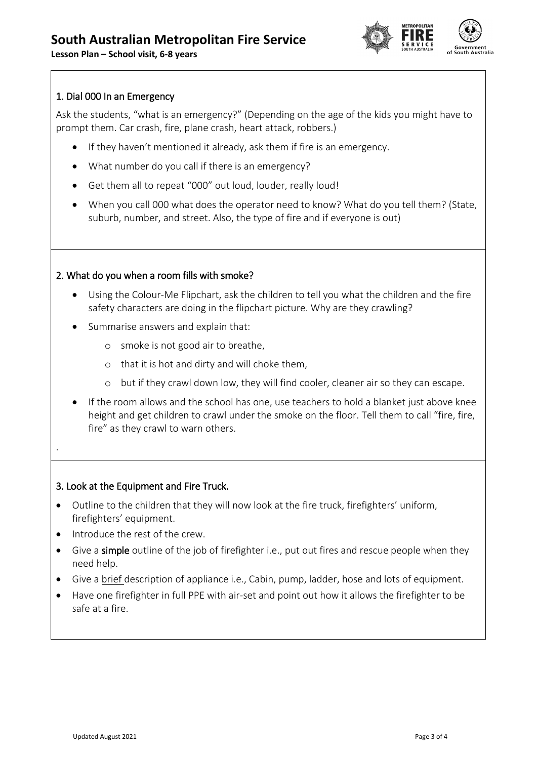**Lesson Plan – School visit, 6-8 years**



## 1. Dial 000 In an Emergency

Ask the students, "what is an emergency?" (Depending on the age of the kids you might have to prompt them. Car crash, fire, plane crash, heart attack, robbers.)

- If they haven't mentioned it already, ask them if fire is an emergency.
- What number do you call if there is an emergency?
- Get them all to repeat "000" out loud, louder, really loud!
- When you call 000 what does the operator need to know? What do you tell them? (State, suburb, number, and street. Also, the type of fire and if everyone is out)

### 2. What do you when a room fills with smoke?

- Using the Colour-Me Flipchart, ask the children to tell you what the children and the fire safety characters are doing in the flipchart picture. Why are they crawling?
- Summarise answers and explain that:
	- o smoke is not good air to breathe,
	- o that it is hot and dirty and will choke them,
	- o but if they crawl down low, they will find cooler, cleaner air so they can escape.
- If the room allows and the school has one, use teachers to hold a blanket just above knee height and get children to crawl under the smoke on the floor. Tell them to call "fire, fire, fire" as they crawl to warn others.

#### 3. Look at the Equipment and Fire Truck.

- Outline to the children that they will now look at the fire truck, firefighters' uniform, firefighters' equipment.
- Introduce the rest of the crew.

.

- Give a simple outline of the job of firefighter i.e., put out fires and rescue people when they need help.
- Give a brief description of appliance i.e., Cabin, pump, ladder, hose and lots of equipment.
- Have one firefighter in full PPE with air-set and point out how it allows the firefighter to be safe at a fire.